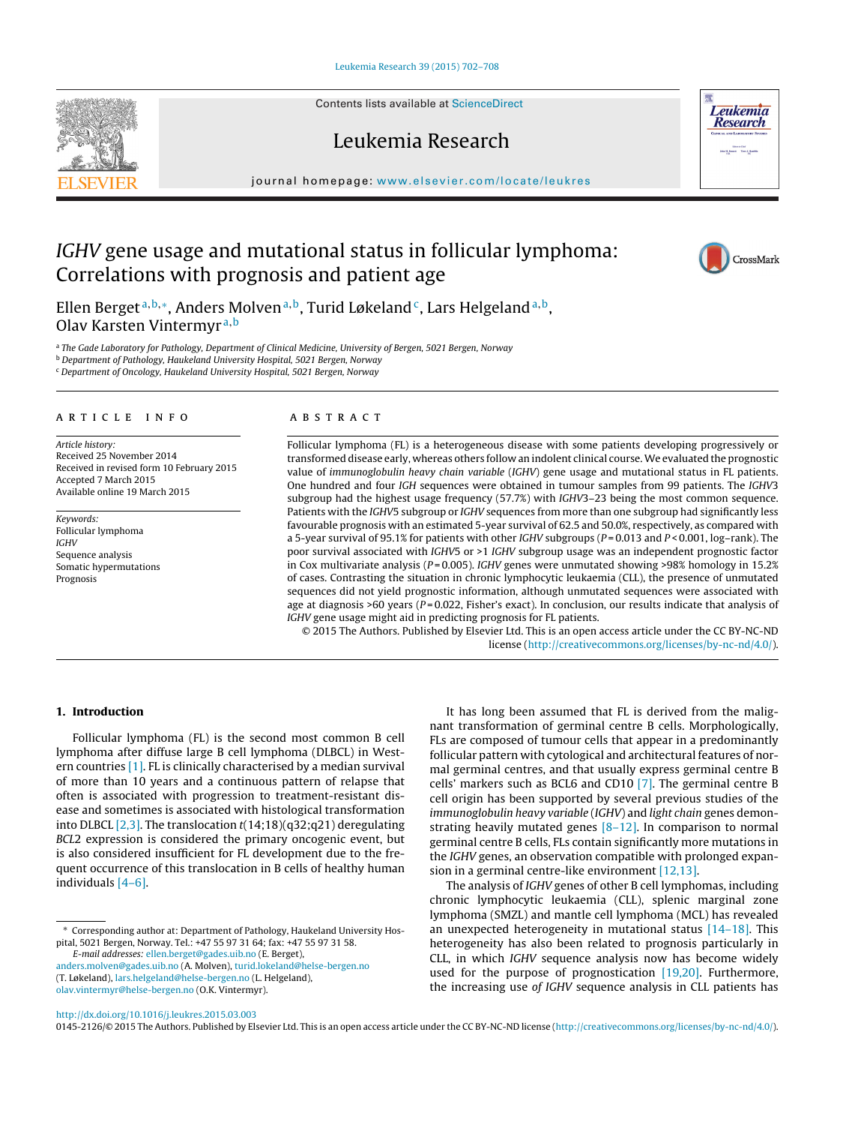Contents lists available at [ScienceDirect](http://www.sciencedirect.com/science/journal/01452126)





# Leukemia Research

journal homepage: [www.elsevier.com/locate/leukres](http://www.elsevier.com/locate/leukres)

# IGHV gene usage and mutational status in follicular lymphoma: Correlations with prognosis and patient age



Ellen Berget<sup>a,b,\*</sup>, Anders Molven<sup>a,b</sup>, Turid Løkeland<sup>c</sup>, Lars Helgeland<sup>a,b</sup>, Olav Karsten Vintermyr <sup>a</sup>,<sup>b</sup>

a The Gade Laboratory for Pathology, Department of Clinical Medicine, University of Bergen, 5021 Bergen, Norway

**b Department of Pathology, Haukeland University Hospital, 5021 Bergen, Norway** 

<sup>c</sup> Department of Oncology, Haukeland University Hospital, 5021 Bergen, Norway

# a r t i c l e i n f o

Article history: Received 25 November 2014 Received in revised form 10 February 2015 Accepted 7 March 2015 Available online 19 March 2015

Keywords: Follicular lymphoma IGHV Sequence analysis Somatic hypermutations Prognosis

# A B S T R A C T

Follicular lymphoma (FL) is a heterogeneous disease with some patients developing progressively or transformed disease early, whereas others follow an indolent clinical course.We evaluated the prognostic value of immunoglobulin heavy chain variable (IGHV) gene usage and mutational status in FL patients. One hundred and four IGH sequences were obtained in tumour samples from 99 patients. The IGHV3 subgroup had the highest usage frequency (57.7%) with IGHV3–23 being the most common sequence. Patients with the IGHV5 subgroup or IGHV sequences from more than one subgroup had significantly less favourable prognosis with an estimated 5-year survival of 62.5 and 50.0%, respectively, as compared with a 5-year survival of 95.1% for patients with other IGHV subgroups ( $P = 0.013$  and  $P < 0.001$ , log–rank). The poor survival associated with IGHV5 or >1 IGHV subgroup usage was an independent prognostic factor in Cox multivariate analysis ( $P = 0.005$ ). IGHV genes were unmutated showing >98% homology in 15.2% of cases. Contrasting the situation in chronic lymphocytic leukaemia (CLL), the presence of unmutated sequences did not yield prognostic information, although unmutated sequences were associated with age at diagnosis >60 years ( $P = 0.022$ , Fisher's exact). In conclusion, our results indicate that analysis of IGHV gene usage might aid in predicting prognosis for FL patients.

© 2015 The Authors. Published by Elsevier Ltd. This is an open access article under the CC BY-NC-ND license [\(http://creativecommons.org/licenses/by-nc-nd/4.0/](http://creativecommons.org/licenses/by-nc-nd/4.0/)).

# **1. Introduction**

Follicular lymphoma (FL) is the second most common B cell lymphoma after diffuse large B cell lymphoma (DLBCL) in Western countries [\[1\].](#page-5-0) FL is clinically characterised by a median survival of more than 10 years and a continuous pattern of relapse that often is associated with progression to treatment-resistant disease and sometimes is associated with histological transformation into DLBCL  $[2,3]$ . The translocation  $t(14;18)(q32;q21)$  deregulating BCL2 expression is considered the primary oncogenic event, but is also considered insufficient for FL development due to the frequent occurrence of this translocation in B cells of healthy human individuals [\[4–6\].](#page-5-0)

[anders.molven@gades.uib.no](mailto:anders.molven@gades.uib.no) (A. Molven), [turid.lokeland@helse-bergen.no](mailto:turid.lokeland@helse-bergen.no) (T. Løkeland), [lars.helgeland@helse-bergen.no](mailto:lars.helgeland@helse-bergen.no) (L. Helgeland),

It has long been assumed that FL is derived from the malignant transformation of germinal centre B cells. Morphologically, FLs are composed of tumour cells that appear in a predominantly follicular pattern with cytological and architectural features of normal germinal centres, and that usually express germinal centre B cells' markers such as BCL6 and CD10 [\[7\].](#page-5-0) The germinal centre B cell origin has been supported by several previous studies of the immunoglobulin heavy variable (IGHV) and light chain genes demonstrating heavily mutated genes [\[8–12\].](#page-5-0) In comparison to normal germinal centre B cells, FLs contain significantly more mutations in the IGHV genes, an observation compatible with prolonged expansion in a germinal centre-like environment [\[12,13\].](#page-5-0)

The analysis of IGHV genes of other B cell lymphomas, including chronic lymphocytic leukaemia (CLL), splenic marginal zone lymphoma (SMZL) and mantle cell lymphoma (MCL) has revealed an unexpected heterogeneity in mutational status  $[14-18]$ . This heterogeneity has also been related to prognosis particularly in CLL, in which IGHV sequence analysis now has become widely used for the purpose of prognostication  $[19,20]$ . Furthermore, the increasing use of IGHV sequence analysis in CLL patients has

[http://dx.doi.org/10.1016/j.leukres.2015.03.003](dx.doi.org/10.1016/j.leukres.2015.03.003)

[olav.vintermyr@helse-bergen.no](mailto:olav.vintermyr@helse-bergen.no) (O.K. Vintermyr).

0145-2126/© 2015 The Authors. Published by Elsevier Ltd. This is an open access article under the CC BY-NC-ND license [\(http://creativecommons.org/licenses/by-nc-nd/4.0/\)](http://creativecommons.org/licenses/by-nc-nd/4.0/).

<sup>∗</sup> Corresponding author at: Department of Pathology, Haukeland University Hospital, 5021 Bergen, Norway. Tel.: +47 55 97 31 64; fax: +47 55 97 31 58. E-mail addresses: [ellen.berget@gades.uib.no](mailto:ellen.berget@gades.uib.no) (E. Berget),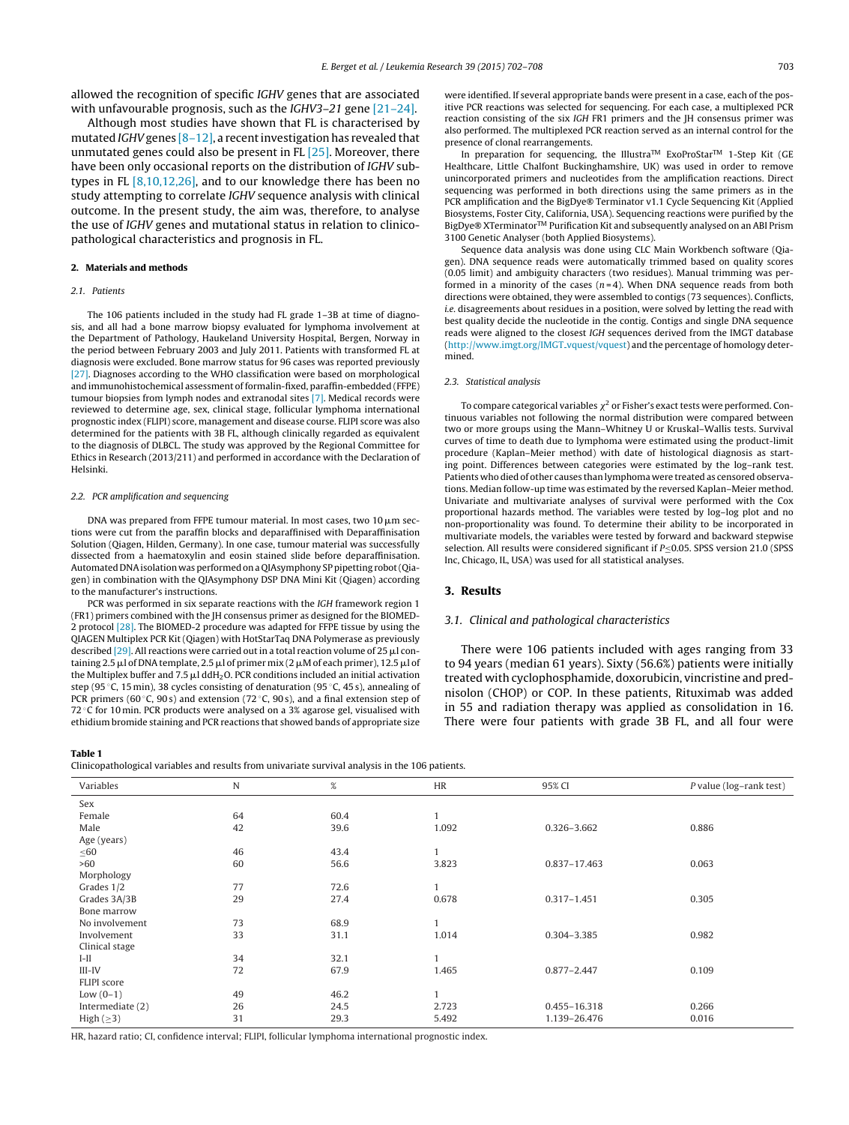<span id="page-1-0"></span>allowed the recognition of specific IGHV genes that are associated with unfavourable prognosis, such as the IGHV3-21 gene [21-24].

Although most studies have shown that FL is characterised by mutated IGHV genes  $[8-12]$ , a recent investigation has revealed that unmutated genes could also be present in FL [\[25\].](#page-6-0) Moreover, there have been only occasional reports on the distribution of IGHV subtypes in FL [\[8,10,12,26\],](#page-5-0) and to our knowledge there has been no study attempting to correlate IGHV sequence analysis with clinical outcome. In the present study, the aim was, therefore, to analyse the use of IGHV genes and mutational status in relation to clinicopathological characteristics and prognosis in FL.

## **2. Materials and methods**

## 2.1 Patients

The 106 patients included in the study had FL grade 1–3B at time of diagnosis, and all had a bone marrow biopsy evaluated for lymphoma involvement at the Department of Pathology, Haukeland University Hospital, Bergen, Norway in the period between February 2003 and July 2011. Patients with transformed FL at diagnosis were excluded. Bone marrow status for 96 cases was reported previously [\[27\].](#page-6-0) Diagnoses according to the WHO classification were based on morphological and immunohistochemical assessment of formalin-fixed, paraffin-embedded (FFPE) tumour biopsies from lymph nodes and extranodal sites [\[7\].](#page-5-0) Medical records were reviewed to determine age, sex, clinical stage, follicular lymphoma international prognostic index (FLIPI) score, management and disease course. FLIPI score was also determined for the patients with 3B FL, although clinically regarded as equivalent to the diagnosis of DLBCL. The study was approved by the Regional Committee for Ethics in Research (2013/211) and performed in accordance with the Declaration of Helsinki.

#### 2.2. PCR amplification and sequencing

DNA was prepared from FFPE tumour material. In most cases, two 10  $\mu$ m sections were cut from the paraffin blocks and deparaffinised with Deparaffinisation Solution (Qiagen, Hilden, Germany). In one case, tumour material was successfully dissected from a haematoxylin and eosin stained slide before deparaffinisation. Automated DNAisolation was performed ona QIAsymphony SP pipetting robot(Qiagen) in combination with the QIAsymphony DSP DNA Mini Kit (Qiagen) according to the manufacturer's instructions.

PCR was performed in six separate reactions with the IGH framework region 1 (FR1) primers combined with the JH consensus primer as designed for the BIOMED-2 protocol [\[28\].](#page-6-0) The BIOMED-2 procedure was adapted for FFPE tissue by using the QIAGEN Multiplex PCR Kit (Qiagen) with HotStarTaq DNA Polymerase as previously described [\[29\].](#page-6-0) All reactions were carried out in a total reaction volume of 25  $\mu$ l containing 2.5  $\mu$ l of DNA template, 2.5  $\mu$ l of primer mix (2  $\mu$ M of each primer), 12.5  $\mu$ l of the Multiplex buffer and 7.5  $\mu$ l ddH $_2$ O. PCR conditions included an initial activation step (95 ◦C, 15 min), 38 cycles consisting of denaturation (95 ◦C, 45 s), annealing of PCR primers (60 $\degree$ C, 90 s) and extension (72 $\degree$ C, 90 s), and a final extension step of  $72^{\circ}$ C for 10 min. PCR products were analysed on a 3% agarose gel, visualised with ethidium bromide staining and PCR reactions that showed bands of appropriate size

## **Table 1**

Clinicopathological variables and results from univariate survival analysis in the 106 patients.

| were identified. If several appropriate bands were present in a case, each of the pos- |
|----------------------------------------------------------------------------------------|
| itive PCR reactions was selected for sequencing. For each case, a multiplexed PCR      |
| reaction consisting of the six IGH FR1 primers and the JH consensus primer was         |
| also performed. The multiplexed PCR reaction served as an internal control for the     |
| presence of clonal rearrangements.                                                     |

In preparation for sequencing, the IllustraTM ExoProStarTM 1-Step Kit (GE Healthcare, Little Chalfont Buckinghamshire, UK) was used in order to remove unincorporated primers and nucleotides from the amplification reactions. Direct sequencing was performed in both directions using the same primers as in the PCR amplification and the BigDye® Terminator v1.1 Cycle Sequencing Kit (Applied Biosystems, Foster City, California, USA). Sequencing reactions were purified by the BigDye® XTerminator<sup>™</sup> Purification Kit and subsequently analysed on an ABI Prism 3100 Genetic Analyser (both Applied Biosystems).

Sequence data analysis was done using CLC Main Workbench software (Qiagen). DNA sequence reads were automatically trimmed based on quality scores (0.05 limit) and ambiguity characters (two residues). Manual trimming was performed in a minority of the cases  $(n=4)$ . When DNA sequence reads from both directions were obtained, they were assembled to contigs (73 sequences). Conflicts, i.e. disagreements about residues in a position, were solved by letting the read with best quality decide the nucleotide in the contig. Contigs and single DNA sequence reads were aligned to the closest IGH sequences derived from the IMGT database ([http://www.imgt.org/IMGT](http://www.imgt.org/IMGT_vquest/vquest) vquest/vquest) and the percentage of homology determined.

#### 2.3. Statistical analysis

To compare categorical variables  $\chi^2$  or Fisher's exact tests were performed. Continuous variables not following the normal distribution were compared between two or more groups using the Mann–Whitney U or Kruskal–Wallis tests. Survival curves of time to death due to lymphoma were estimated using the product-limit procedure (Kaplan–Meier method) with date of histological diagnosis as starting point. Differences between categories were estimated by the log–rank test. Patients who died of other causes than lymphoma were treated as censored observations. Median follow-up time was estimated by the reversed Kaplan–Meier method. Univariate and multivariate analyses of survival were performed with the Cox proportional hazards method. The variables were tested by log–log plot and no non-proportionality was found. To determine their ability to be incorporated in multivariate models, the variables were tested by forward and backward stepwise selection. All results were considered significant if P≤0.05. SPSS version 21.0 (SPSS Inc, Chicago, IL, USA) was used for all statistical analyses.

## **3. Results**

### 3.1. Clinical and pathological characteristics

There were 106 patients included with ages ranging from 33 to 94 years (median 61 years). Sixty (56.6%) patients were initially treated with cyclophosphamide, doxorubicin, vincristine and prednisolon (CHOP) or COP. In these patients, Rituximab was added in 55 and radiation therapy was applied as consolidation in 16. There were four patients with grade 3B FL, and all four were

| Clinicopathological variables and results from univariate survival analysis in the 106 patients. |    |      |           |                 |                         |
|--------------------------------------------------------------------------------------------------|----|------|-----------|-----------------|-------------------------|
| Variables                                                                                        | N  | %    | <b>HR</b> | 95% CI          | P value (log-rank test) |
| Sex                                                                                              |    |      |           |                 |                         |
| Female                                                                                           | 64 | 60.4 |           |                 |                         |
| Male                                                                                             | 42 | 39.6 | 1.092     | 0.326-3.662     | 0.886                   |
| Age (years)                                                                                      |    |      |           |                 |                         |
| $\leq 60$                                                                                        | 46 | 43.4 |           |                 |                         |
| >60                                                                                              | 60 | 56.6 | 3.823     | 0.837-17.463    | 0.063                   |
| Morphology                                                                                       |    |      |           |                 |                         |
| Grades 1/2                                                                                       | 77 | 72.6 |           |                 |                         |
| Grades 3A/3B                                                                                     | 29 | 27.4 | 0.678     | $0.317 - 1.451$ | 0.305                   |
| Bone marrow                                                                                      |    |      |           |                 |                         |
| No involvement                                                                                   | 73 | 68.9 |           |                 |                         |
| Involvement                                                                                      | 33 | 31.1 | 1.014     | 0.304-3.385     | 0.982                   |
| Clinical stage                                                                                   |    |      |           |                 |                         |
| $I-II$                                                                                           | 34 | 32.1 |           |                 |                         |
| $III$ -IV                                                                                        | 72 | 67.9 | 1.465     | $0.877 - 2.447$ | 0.109                   |
| FLIPI score                                                                                      |    |      |           |                 |                         |
| Low $(0-1)$                                                                                      | 49 | 46.2 |           |                 |                         |
| Intermediate (2)                                                                                 | 26 | 24.5 | 2.723     | 0.455-16.318    | 0.266                   |
| High $(\geq 3)$                                                                                  | 31 | 29.3 | 5.492     | 1.139-26.476    | 0.016                   |

HR, hazard ratio; CI, confidence interval; FLIPI, follicular lymphoma international prognostic index.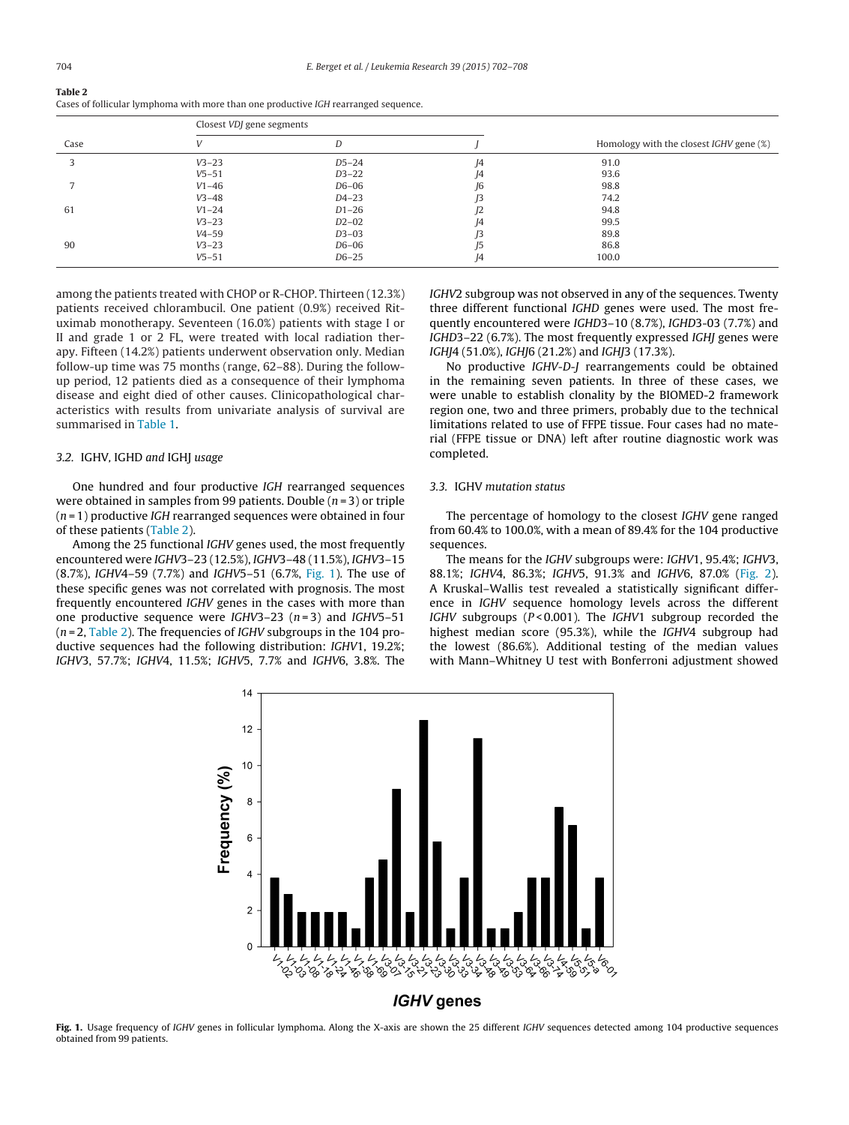| Table 2<br>Cases of follicular lymphoma with more than one productive <i>IGH</i> rearranged sequence.                                                                                                                                                                                                                                                                                                                       |
|-----------------------------------------------------------------------------------------------------------------------------------------------------------------------------------------------------------------------------------------------------------------------------------------------------------------------------------------------------------------------------------------------------------------------------|
| $C_{0.000}$ $\mu$ $\overline{\rm D}$ $\overline{\rm C}$ $\overline{\rm C}$ $\overline{\rm C}$ $\overline{\rm C}$ $\overline{\rm C}$ $\overline{\rm C}$ $\overline{\rm C}$ $\overline{\rm C}$ $\overline{\rm C}$ $\overline{\rm C}$ $\overline{\rm C}$ $\overline{\rm C}$ $\overline{\rm C}$ $\overline{\rm C}$ $\overline{\rm C}$ $\overline{\rm C}$ $\overline{\rm C}$ $\overline{\rm C}$ $\overline{\rm C}$ $\overline{\$ |

|      | Closest VDJ gene segments |           |    |                                                |  |
|------|---------------------------|-----------|----|------------------------------------------------|--|
| Case |                           | D         |    | Homology with the closest <i>IGHV</i> gene (%) |  |
| ς    | $V3 - 23$                 | $D5-24$   | 14 | 91.0                                           |  |
|      | $V5 - 51$                 | $D3-22$   | 14 | 93.6                                           |  |
|      | $V1 - 46$                 | D6-06     | I6 | 98.8                                           |  |
|      | $V3 - 48$                 | $D4 - 23$ |    | 74.2                                           |  |
| 61   | $V1 - 24$                 | $D1-26$   | 12 | 94.8                                           |  |
|      | $V3 - 23$                 | $D2-02$   | 14 | 99.5                                           |  |
|      | $V4 - 59$                 | $D3-03$   |    | 89.8                                           |  |
| 90   | $V3 - 23$                 | D6-06     | I5 | 86.8                                           |  |
|      | $V5 - 51$                 | $D6-25$   | J4 | 100.0                                          |  |

among the patients treated with CHOP or R-CHOP. Thirteen (12.3%) patients received chlorambucil. One patient (0.9%) received Rituximab monotherapy. Seventeen (16.0%) patients with stage I or II and grade 1 or 2 FL, were treated with local radiation therapy. Fifteen (14.2%) patients underwent observation only. Median follow-up time was 75 months (range, 62–88). During the followup period, 12 patients died as a consequence of their lymphoma disease and eight died of other causes. Clinicopathological characteristics with results from univariate analysis of survival are summarised in [Table](#page-1-0) 1.

## 3.2. IGHV, IGHD and IGHJ usage

One hundred and four productive IGH rearranged sequences were obtained in samples from 99 patients. Double  $(n=3)$  or triple  $(n=1)$  productive IGH rearranged sequences were obtained in four of these patients (Table 2).

Among the 25 functional IGHV genes used, the most frequently encountered were IGHV3–23 (12.5%), IGHV3–48 (11.5%), IGHV3–15 (8.7%), IGHV4–59 (7.7%) and IGHV5–51 (6.7%, Fig. 1). The use of these specific genes was not correlated with prognosis. The most frequently encountered IGHV genes in the cases with more than one productive sequence were IGHV3–23  $(n=3)$  and IGHV5–51  $(n=2,$  Table 2). The frequencies of *IGHV* subgroups in the 104 productive sequences had the following distribution: IGHV1, 19.2%; IGHV3, 57.7%; IGHV4, 11.5%; IGHV5, 7.7% and IGHV6, 3.8%. The

IGHV2 subgroup was not observed in any of the sequences. Twenty three different functional IGHD genes were used. The most frequently encountered were IGHD3–10 (8.7%), IGHD3-03 (7.7%) and IGHD3–22 (6.7%). The most frequently expressed IGHJ genes were IGHJ4 (51.0%), IGHJ6 (21.2%) and IGHJ3 (17.3%).

No productive IGHV-D-J rearrangements could be obtained in the remaining seven patients. In three of these cases, we were unable to establish clonality by the BIOMED-2 framework region one, two and three primers, probably due to the technical limitations related to use of FFPE tissue. Four cases had no material (FFPE tissue or DNA) left after routine diagnostic work was completed.

# 3.3. IGHV mutation status

The percentage of homology to the closest IGHV gene ranged from 60.4% to 100.0%, with a mean of 89.4% for the 104 productive sequences.

The means for the IGHV subgroups were: IGHV1, 95.4%; IGHV3, 88.1%; IGHV4, 86.3%; IGHV5, 91.3% and IGHV6, 87.0% [\(Fig.](#page-3-0) 2). A Kruskal–Wallis test revealed a statistically significant difference in IGHV sequence homology levels across the different IGHV subgroups ( $P < 0.001$ ). The IGHV1 subgroup recorded the highest median score (95.3%), while the IGHV4 subgroup had the lowest (86.6%). Additional testing of the median values with Mann–Whitney U test with Bonferroni adjustment showed



Fig. 1. Usage frequency of IGHV genes in follicular lymphoma. Along the X-axis are shown the 25 different IGHV sequences detected among 104 productive sequences obtained from 99 patients.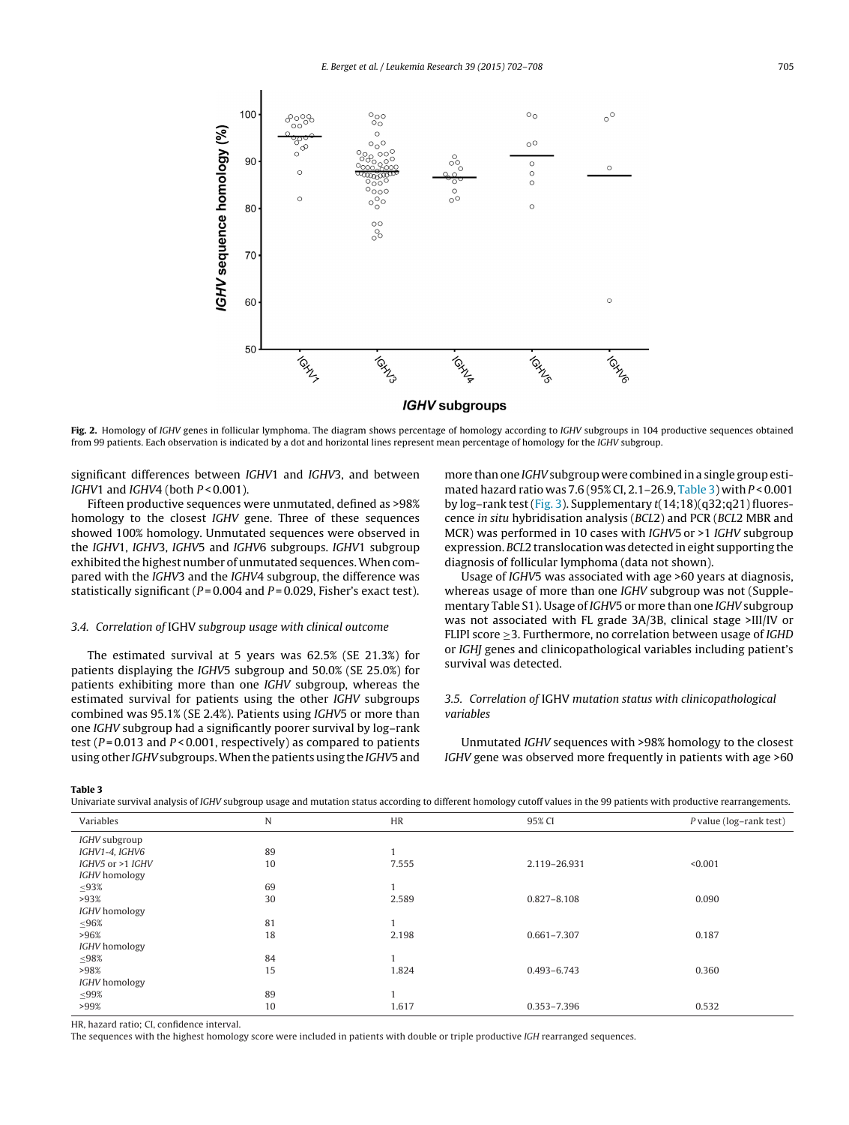<span id="page-3-0"></span>

**Fig. 2.** Homology of IGHV genes in follicular lymphoma. The diagram shows percentage of homology according to IGHV subgroups in 104 productive sequences obtained from 99 patients. Each observation is indicated by a dot and horizontal lines represent mean percentage of homology for the IGHV subgroup.

significant differences between IGHV1 and IGHV3, and between IGHV1 and IGHV4 (both  $P < 0.001$ ).

Fifteen productive sequences were unmutated, defined as >98% homology to the closest IGHV gene. Three of these sequences showed 100% homology. Unmutated sequences were observed in the IGHV1, IGHV3, IGHV5 and IGHV6 subgroups. IGHV1 subgroup exhibited the highest number of unmutated sequences.When compared with the IGHV3 and the IGHV4 subgroup, the difference was statistically significant ( $P = 0.004$  and  $P = 0.029$ , Fisher's exact test).

# 3.4. Correlation of IGHV subgroup usage with clinical outcome

The estimated survival at 5 years was 62.5% (SE 21.3%) for patients displaying the IGHV5 subgroup and 50.0% (SE 25.0%) for patients exhibiting more than one IGHV subgroup, whereas the estimated survival for patients using the other IGHV subgroups combined was 95.1% (SE 2.4%). Patients using IGHV5 or more than one IGHV subgroup had a significantly poorer survival by log–rank test ( $P = 0.013$  and  $P < 0.001$ , respectively) as compared to patients using other IGHV subgroups. When the patients using the IGHV5 and more than one *IGHV* subgroup were combined in a single group estimated hazard ratio was 7.6 (95% CI, 2.1–26.9, Table 3) with P < 0.001 by log–rank test [\(Fig.](#page-4-0) 3). Supplementary t(14;18)(q32;q21) fluorescence in situ hybridisation analysis (BCL2) and PCR (BCL2 MBR and MCR) was performed in 10 cases with IGHV5 or >1 IGHV subgroup expression. BCL2 translocation was detected in eight supporting the diagnosis of follicular lymphoma (data not shown).

Usage of IGHV5 was associated with age >60 years at diagnosis, whereas usage of more than one IGHV subgroup was not (Supplementary Table S1). Usage of IGHV5 or more than one IGHV subgroup was not associated with FL grade 3A/3B, clinical stage >III/IV or FLIPI score ≥3. Furthermore, no correlation between usage of IGHD or IGHJ genes and clinicopathological variables including patient's survival was detected.

# 3.5. Correlation of IGHV mutation status with clinicopathological variables

Unmutated IGHV sequences with >98% homology to the closest IGHV gene was observed more frequently in patients with age >60

#### **Table 3**

Univariate survival analysis of IGHV subgroup usage and mutation status according to different homology cutoff values in the 99 patients with productive rearrangements.

| Variables        | $\mathbf N$ | HR    | 95% CI          | P value (log-rank test) |
|------------------|-------------|-------|-----------------|-------------------------|
| IGHV subgroup    |             |       |                 |                         |
| IGHV1-4, IGHV6   | 89          |       |                 |                         |
| IGHV5 or >1 IGHV | 10          | 7.555 | 2.119-26.931    | < 0.001                 |
| IGHV homology    |             |       |                 |                         |
| $\leq$ 93%       | 69          |       |                 |                         |
| >93%             | 30          | 2.589 | $0.827 - 8.108$ | 0.090                   |
| IGHV homology    |             |       |                 |                         |
| $\leq 96\%$      | 81          |       |                 |                         |
| >96%             | 18          | 2.198 | $0.661 - 7.307$ | 0.187                   |
| IGHV homology    |             |       |                 |                         |
| $\leq 98\%$      | 84          |       |                 |                         |
| >98%             | 15          | 1.824 | $0.493 - 6.743$ | 0.360                   |
| IGHV homology    |             |       |                 |                         |
| $\leq$ 99%       | 89          |       |                 |                         |
| >99%             | 10          | 1.617 | 0.353-7.396     | 0.532                   |

HR, hazard ratio; CI, confidence interval.

The sequences with the highest homology score were included in patients with double or triple productive IGH rearranged sequences.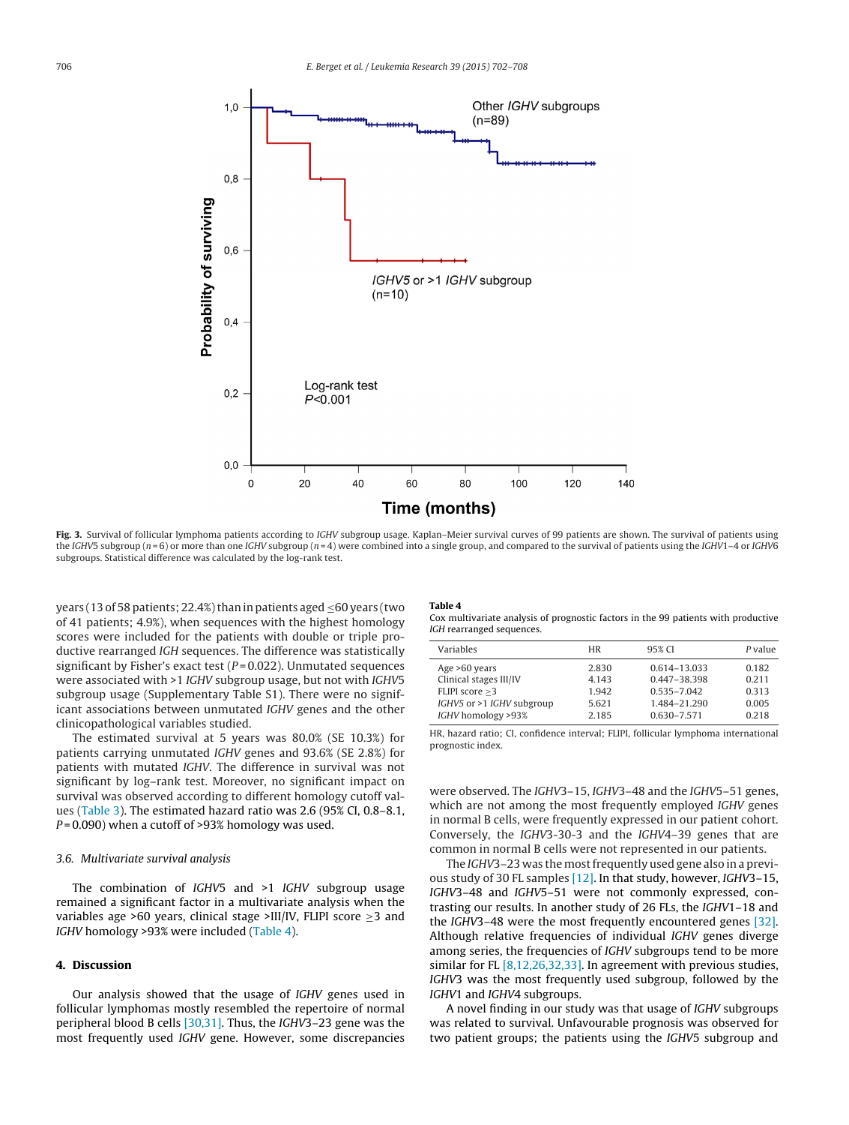<span id="page-4-0"></span>

Fig. 3. Survival of follicular lymphoma patients according to IGHV subgroup usage. Kaplan–Meier survival curves of 99 patients are shown. The survival of patients using the IGHV5 subgroup ( $n = 6$ ) or more than one IGHV subgroup ( $n = 4$ ) were combined into a single group, and compared to the survival of patients using the IGHV1–4 or IGHV6 subgroups. Statistical difference was calculated by the log-rank test.

years (13 of 58 patients; 22.4%) than in patients aged ≤60 years (two of 41 patients; 4.9%), when sequences with the highest homology scores were included for the patients with double or triple productive rearranged IGH sequences. The difference was statistically significant by Fisher's exact test ( $P = 0.022$ ). Unmutated sequences were associated with >1 IGHV subgroup usage, but not with IGHV5 subgroup usage (Supplementary Table S1). There were no significant associations between unmutated IGHV genes and the other clinicopathological variables studied.

The estimated survival at 5 years was 80.0% (SE 10.3%) for patients carrying unmutated IGHV genes and 93.6% (SE 2.8%) for patients with mutated IGHV. The difference in survival was not significant by log–rank test. Moreover, no significant impact on survival was observed according to different homology cutoff values [\(Table](#page-3-0) 3). The estimated hazard ratio was 2.6 (95% CI, 0.8–8.1,  $P = 0.090$ ) when a cutoff of >93% homology was used.

#### 3.6. Multivariate survival analysis

The combination of IGHV5 and >1 IGHV subgroup usage remained a significant factor in a multivariate analysis when the variables age >60 years, clinical stage >III/IV, FLIPI score  $\geq$ 3 and IGHV homology >93% were included (Table 4).

### **4. Discussion**

Our analysis showed that the usage of IGHV genes used in follicular lymphomas mostly resembled the repertoire of normal peripheral blood B cells [\[30,31\].](#page-6-0) Thus, the IGHV3–23 gene was the most frequently used IGHV gene. However, some discrepancies

# **Table 4**

Cox multivariate analysis of prognostic factors in the 99 patients with productive IGH rearranged sequences.

| Variables                 | <b>HR</b> | 95% CI          | P value |
|---------------------------|-----------|-----------------|---------|
| Age >60 years             | 2.830     | 0.614-13.033    | 0.182   |
| Clinical stages III/IV    | 4.143     | 0.447-38.398    | 0.211   |
| FLIPI score $>3$          | 1.942     | $0.535 - 7.042$ | 0.313   |
| IGHV5 or >1 IGHV subgroup | 5.621     | 1.484-21.290    | 0.005   |
| IGHV homology >93%        | 2.185     | $0.630 - 7.571$ | 0.218   |
|                           |           |                 |         |

HR, hazard ratio; CI, confidence interval; FLIPI, follicular lymphoma international prognostic index.

were observed. The IGHV3–15, IGHV3–48 and the IGHV5–51 genes, which are not among the most frequently employed IGHV genes in normal B cells, were frequently expressed in our patient cohort. Conversely, the IGHV3-30-3 and the IGHV4–39 genes that are common in normal B cells were not represented in our patients.

The IGHV3-23 was the most frequently used gene also in a previous study of 30 FL samples [\[12\].](#page-5-0) In that study, however, IGHV3–15, IGHV3–48 and IGHV5–51 were not commonly expressed, contrasting our results. In another study of 26 FLs, the IGHV1–18 and the IGHV3–48 were the most frequently encountered genes [\[32\].](#page-6-0) Although relative frequencies of individual IGHV genes diverge among series, the frequencies of IGHV subgroups tend to be more similar for FL  $[8,12,26,32,33]$ . In agreement with previous studies, IGHV3 was the most frequently used subgroup, followed by the IGHV1 and IGHV4 subgroups.

A novel finding in our study was that usage of IGHV subgroups was related to survival. Unfavourable prognosis was observed for two patient groups; the patients using the IGHV5 subgroup and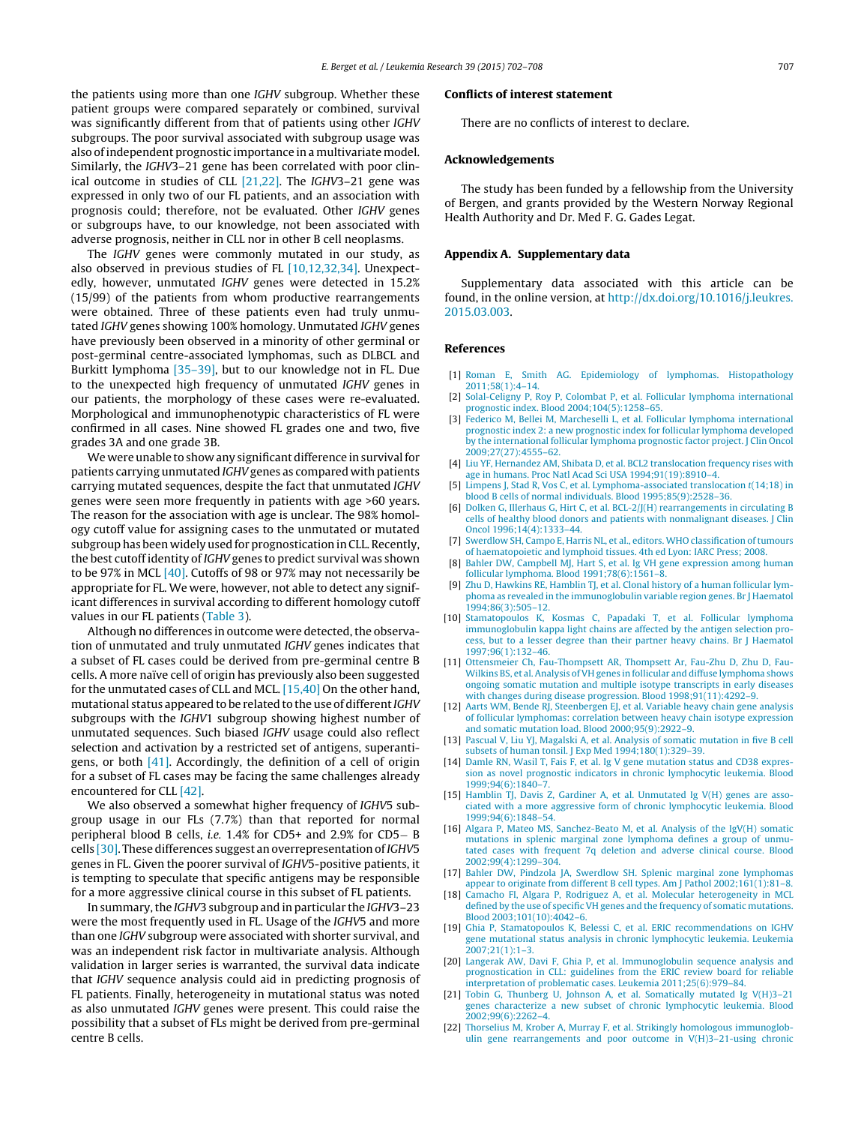<span id="page-5-0"></span>the patients using more than one IGHV subgroup. Whether these patient groups were compared separately or combined, survival was significantly different from that of patients using other IGHV subgroups. The poor survival associated with subgroup usage was also ofindependent prognostic importance in a multivariate model. Similarly, the IGHV3–21 gene has been correlated with poor clinical outcome in studies of CLL [21,22]. The IGHV3–21 gene was expressed in only two of our FL patients, and an association with prognosis could; therefore, not be evaluated. Other IGHV genes or subgroups have, to our knowledge, not been associated with adverse prognosis, neither in CLL nor in other B cell neoplasms.

The IGHV genes were commonly mutated in our study, as also observed in previous studies of FL [10,12,32,34]. Unexpectedly, however, unmutated IGHV genes were detected in 15.2% (15/99) of the patients from whom productive rearrangements were obtained. Three of these patients even had truly unmutated IGHV genes showing 100% homology. Unmutated IGHV genes have previously been observed in a minority of other germinal or post-germinal centre-associated lymphomas, such as DLBCL and Burkitt lymphoma [\[35–39\],](#page-6-0) but to our knowledge not in FL. Due to the unexpected high frequency of unmutated IGHV genes in our patients, the morphology of these cases were re-evaluated. Morphological and immunophenotypic characteristics of FL were confirmed in all cases. Nine showed FL grades one and two, five grades 3A and one grade 3B.

We were unable to show any significant difference in survival for patients carrying unmutated IGHV genes as compared with patients carrying mutated sequences, despite the fact that unmutated IGHV genes were seen more frequently in patients with age >60 years. The reason for the association with age is unclear. The 98% homology cutoff value for assigning cases to the unmutated or mutated subgroup has been widely used for prognostication in CLL. Recently, the best cutoff identity of IGHV genes to predict survival was shown to be 97% in MCL [\[40\].](#page-6-0) Cutoffs of 98 or 97% may not necessarily be appropriate for FL. We were, however, not able to detect any significant differences in survival according to different homology cutoff values in our FL patients [\(Table](#page-3-0) 3).

Although no differences in outcome were detected, the observation of unmutated and truly unmutated IGHV genes indicates that a subset of FL cases could be derived from pre-germinal centre B cells. A more naïve cell of origin has previously also been suggested for the unmutated cases of CLL and MCL. [15,40] On the other hand, mutational status appeared to be related to the use of different IGHV subgroups with the IGHV1 subgroup showing highest number of unmutated sequences. Such biased IGHV usage could also reflect selection and activation by a restricted set of antigens, superantigens, or both [\[41\].](#page-6-0) Accordingly, the definition of a cell of origin for a subset of FL cases may be facing the same challenges already encountered for CLL [\[42\].](#page-6-0)

We also observed a somewhat higher frequency of IGHV5 subgroup usage in our FLs (7.7%) than that reported for normal peripheral blood B cells, i.e. 1.4% for CD5+ and 2.9% for CD5− B cells [\[30\].](#page-6-0) These differences suggest an overrepresentation of IGHV5 genes in FL. Given the poorer survival of IGHV5-positive patients, it is tempting to speculate that specific antigens may be responsible for a more aggressive clinical course in this subset of FL patients.

In summary,the IGHV3 subgroup and in particular the IGHV3–23 were the most frequently used in FL. Usage of the IGHV5 and more than one IGHV subgroup were associated with shorter survival, and was an independent risk factor in multivariate analysis. Although validation in larger series is warranted, the survival data indicate that IGHV sequence analysis could aid in predicting prognosis of FL patients. Finally, heterogeneity in mutational status was noted as also unmutated IGHV genes were present. This could raise the possibility that a subset of FLs might be derived from pre-germinal centre B cells.

#### **Conflicts of interest statement**

There are no conflicts of interest to declare.

## **Acknowledgements**

The study has been funded by a fellowship from the University of Bergen, and grants provided by the Western Norway Regional Health Authority and Dr. Med F. G. Gades Legat.

# **Appendix A. Supplementary data**

Supplementary data associated with this article can be found, in the online version, at [http://dx.doi.org/10.1016/j.leukres.](http://dx.doi.org/10.1016/j.leukres.2015.03.003) [2015.03.003](http://dx.doi.org/10.1016/j.leukres.2015.03.003).

## **References**

- [1] [Roman](http://refhub.elsevier.com/S0145-2126(15)00072-7/sbref0215) [E,](http://refhub.elsevier.com/S0145-2126(15)00072-7/sbref0215) [Smith](http://refhub.elsevier.com/S0145-2126(15)00072-7/sbref0215) [AG.](http://refhub.elsevier.com/S0145-2126(15)00072-7/sbref0215) [Epidemiology](http://refhub.elsevier.com/S0145-2126(15)00072-7/sbref0215) [of](http://refhub.elsevier.com/S0145-2126(15)00072-7/sbref0215) [lymphomas.](http://refhub.elsevier.com/S0145-2126(15)00072-7/sbref0215) [Histopathology](http://refhub.elsevier.com/S0145-2126(15)00072-7/sbref0215) [2011;58\(1\):4](http://refhub.elsevier.com/S0145-2126(15)00072-7/sbref0215)–[14.](http://refhub.elsevier.com/S0145-2126(15)00072-7/sbref0215)
- [2] [Solal-Celigny](http://refhub.elsevier.com/S0145-2126(15)00072-7/sbref0220) [P,](http://refhub.elsevier.com/S0145-2126(15)00072-7/sbref0220) [Roy](http://refhub.elsevier.com/S0145-2126(15)00072-7/sbref0220) P, [Colombat](http://refhub.elsevier.com/S0145-2126(15)00072-7/sbref0220) P, [et](http://refhub.elsevier.com/S0145-2126(15)00072-7/sbref0220) [al.](http://refhub.elsevier.com/S0145-2126(15)00072-7/sbref0220) [Follicular](http://refhub.elsevier.com/S0145-2126(15)00072-7/sbref0220) [lymphoma](http://refhub.elsevier.com/S0145-2126(15)00072-7/sbref0220) [international](http://refhub.elsevier.com/S0145-2126(15)00072-7/sbref0220) [prognostic](http://refhub.elsevier.com/S0145-2126(15)00072-7/sbref0220) [index.](http://refhub.elsevier.com/S0145-2126(15)00072-7/sbref0220) [Blood](http://refhub.elsevier.com/S0145-2126(15)00072-7/sbref0220) [2004;104\(5\):1258–65.](http://refhub.elsevier.com/S0145-2126(15)00072-7/sbref0220)
- [3] [Federico](http://refhub.elsevier.com/S0145-2126(15)00072-7/sbref0225) [M,](http://refhub.elsevier.com/S0145-2126(15)00072-7/sbref0225) [Bellei](http://refhub.elsevier.com/S0145-2126(15)00072-7/sbref0225) [M,](http://refhub.elsevier.com/S0145-2126(15)00072-7/sbref0225) [Marcheselli](http://refhub.elsevier.com/S0145-2126(15)00072-7/sbref0225) [L,](http://refhub.elsevier.com/S0145-2126(15)00072-7/sbref0225) [et](http://refhub.elsevier.com/S0145-2126(15)00072-7/sbref0225) [al.](http://refhub.elsevier.com/S0145-2126(15)00072-7/sbref0225) [Follicular](http://refhub.elsevier.com/S0145-2126(15)00072-7/sbref0225) [lymphoma](http://refhub.elsevier.com/S0145-2126(15)00072-7/sbref0225) [international](http://refhub.elsevier.com/S0145-2126(15)00072-7/sbref0225) [prognostic](http://refhub.elsevier.com/S0145-2126(15)00072-7/sbref0225) [index](http://refhub.elsevier.com/S0145-2126(15)00072-7/sbref0225) [2:](http://refhub.elsevier.com/S0145-2126(15)00072-7/sbref0225) [a](http://refhub.elsevier.com/S0145-2126(15)00072-7/sbref0225) [new](http://refhub.elsevier.com/S0145-2126(15)00072-7/sbref0225) [prognostic](http://refhub.elsevier.com/S0145-2126(15)00072-7/sbref0225) [index](http://refhub.elsevier.com/S0145-2126(15)00072-7/sbref0225) [for](http://refhub.elsevier.com/S0145-2126(15)00072-7/sbref0225) [follicular](http://refhub.elsevier.com/S0145-2126(15)00072-7/sbref0225) [lymphoma](http://refhub.elsevier.com/S0145-2126(15)00072-7/sbref0225) [developed](http://refhub.elsevier.com/S0145-2126(15)00072-7/sbref0225) [by](http://refhub.elsevier.com/S0145-2126(15)00072-7/sbref0225) [the](http://refhub.elsevier.com/S0145-2126(15)00072-7/sbref0225) [international](http://refhub.elsevier.com/S0145-2126(15)00072-7/sbref0225) [follicular](http://refhub.elsevier.com/S0145-2126(15)00072-7/sbref0225) [lymphoma](http://refhub.elsevier.com/S0145-2126(15)00072-7/sbref0225) [prognostic](http://refhub.elsevier.com/S0145-2126(15)00072-7/sbref0225) [factor](http://refhub.elsevier.com/S0145-2126(15)00072-7/sbref0225) [project.](http://refhub.elsevier.com/S0145-2126(15)00072-7/sbref0225) [J](http://refhub.elsevier.com/S0145-2126(15)00072-7/sbref0225) [Clin](http://refhub.elsevier.com/S0145-2126(15)00072-7/sbref0225) [Oncol](http://refhub.elsevier.com/S0145-2126(15)00072-7/sbref0225) [2009;27\(27\):4555–62.](http://refhub.elsevier.com/S0145-2126(15)00072-7/sbref0225)
- [4] [Liu](http://refhub.elsevier.com/S0145-2126(15)00072-7/sbref0230) [YF,](http://refhub.elsevier.com/S0145-2126(15)00072-7/sbref0230) [Hernandez](http://refhub.elsevier.com/S0145-2126(15)00072-7/sbref0230) [AM,](http://refhub.elsevier.com/S0145-2126(15)00072-7/sbref0230) [Shibata](http://refhub.elsevier.com/S0145-2126(15)00072-7/sbref0230) [D,](http://refhub.elsevier.com/S0145-2126(15)00072-7/sbref0230) [et](http://refhub.elsevier.com/S0145-2126(15)00072-7/sbref0230) [al.](http://refhub.elsevier.com/S0145-2126(15)00072-7/sbref0230) [BCL2](http://refhub.elsevier.com/S0145-2126(15)00072-7/sbref0230) [translocation](http://refhub.elsevier.com/S0145-2126(15)00072-7/sbref0230) [frequency](http://refhub.elsevier.com/S0145-2126(15)00072-7/sbref0230) [rises](http://refhub.elsevier.com/S0145-2126(15)00072-7/sbref0230) [with](http://refhub.elsevier.com/S0145-2126(15)00072-7/sbref0230) [age](http://refhub.elsevier.com/S0145-2126(15)00072-7/sbref0230) [in](http://refhub.elsevier.com/S0145-2126(15)00072-7/sbref0230) [humans.](http://refhub.elsevier.com/S0145-2126(15)00072-7/sbref0230) [Proc](http://refhub.elsevier.com/S0145-2126(15)00072-7/sbref0230) [Natl](http://refhub.elsevier.com/S0145-2126(15)00072-7/sbref0230) [Acad](http://refhub.elsevier.com/S0145-2126(15)00072-7/sbref0230) [Sci](http://refhub.elsevier.com/S0145-2126(15)00072-7/sbref0230) [USA](http://refhub.elsevier.com/S0145-2126(15)00072-7/sbref0230) [1994;91\(19\):8910–4.](http://refhub.elsevier.com/S0145-2126(15)00072-7/sbref0230)
- [5] [Limpens](http://refhub.elsevier.com/S0145-2126(15)00072-7/sbref0235) [J,](http://refhub.elsevier.com/S0145-2126(15)00072-7/sbref0235) [Stad](http://refhub.elsevier.com/S0145-2126(15)00072-7/sbref0235) [R,](http://refhub.elsevier.com/S0145-2126(15)00072-7/sbref0235) [Vos](http://refhub.elsevier.com/S0145-2126(15)00072-7/sbref0235) [C,](http://refhub.elsevier.com/S0145-2126(15)00072-7/sbref0235) [et](http://refhub.elsevier.com/S0145-2126(15)00072-7/sbref0235) [al.](http://refhub.elsevier.com/S0145-2126(15)00072-7/sbref0235) [Lymphoma-associated](http://refhub.elsevier.com/S0145-2126(15)00072-7/sbref0235) [translocation](http://refhub.elsevier.com/S0145-2126(15)00072-7/sbref0235) [t](http://refhub.elsevier.com/S0145-2126(15)00072-7/sbref0235)[\(14;18\)](http://refhub.elsevier.com/S0145-2126(15)00072-7/sbref0235) [in](http://refhub.elsevier.com/S0145-2126(15)00072-7/sbref0235) [blood](http://refhub.elsevier.com/S0145-2126(15)00072-7/sbref0235) [B](http://refhub.elsevier.com/S0145-2126(15)00072-7/sbref0235) [cells](http://refhub.elsevier.com/S0145-2126(15)00072-7/sbref0235) [of](http://refhub.elsevier.com/S0145-2126(15)00072-7/sbref0235) [normal](http://refhub.elsevier.com/S0145-2126(15)00072-7/sbref0235) [individuals.](http://refhub.elsevier.com/S0145-2126(15)00072-7/sbref0235) [Blood](http://refhub.elsevier.com/S0145-2126(15)00072-7/sbref0235) [1995;85\(9\):2528–36.](http://refhub.elsevier.com/S0145-2126(15)00072-7/sbref0235)
- [6] [Dolken](http://refhub.elsevier.com/S0145-2126(15)00072-7/sbref0240) [G,](http://refhub.elsevier.com/S0145-2126(15)00072-7/sbref0240) [Illerhaus](http://refhub.elsevier.com/S0145-2126(15)00072-7/sbref0240) [G,](http://refhub.elsevier.com/S0145-2126(15)00072-7/sbref0240) [Hirt](http://refhub.elsevier.com/S0145-2126(15)00072-7/sbref0240) [C,](http://refhub.elsevier.com/S0145-2126(15)00072-7/sbref0240) [et](http://refhub.elsevier.com/S0145-2126(15)00072-7/sbref0240) [al.](http://refhub.elsevier.com/S0145-2126(15)00072-7/sbref0240) [BCL-2/J\(H\)](http://refhub.elsevier.com/S0145-2126(15)00072-7/sbref0240) [rearrangements](http://refhub.elsevier.com/S0145-2126(15)00072-7/sbref0240) [in](http://refhub.elsevier.com/S0145-2126(15)00072-7/sbref0240) [circulating](http://refhub.elsevier.com/S0145-2126(15)00072-7/sbref0240) [B](http://refhub.elsevier.com/S0145-2126(15)00072-7/sbref0240) [cells](http://refhub.elsevier.com/S0145-2126(15)00072-7/sbref0240) [of](http://refhub.elsevier.com/S0145-2126(15)00072-7/sbref0240) [healthy](http://refhub.elsevier.com/S0145-2126(15)00072-7/sbref0240) [blood](http://refhub.elsevier.com/S0145-2126(15)00072-7/sbref0240) [donors](http://refhub.elsevier.com/S0145-2126(15)00072-7/sbref0240) [and](http://refhub.elsevier.com/S0145-2126(15)00072-7/sbref0240) [patients](http://refhub.elsevier.com/S0145-2126(15)00072-7/sbref0240) [with](http://refhub.elsevier.com/S0145-2126(15)00072-7/sbref0240) [nonmalignant](http://refhub.elsevier.com/S0145-2126(15)00072-7/sbref0240) [diseases.](http://refhub.elsevier.com/S0145-2126(15)00072-7/sbref0240) [J](http://refhub.elsevier.com/S0145-2126(15)00072-7/sbref0240) [Clin](http://refhub.elsevier.com/S0145-2126(15)00072-7/sbref0240) [Oncol](http://refhub.elsevier.com/S0145-2126(15)00072-7/sbref0240) [1996;14\(4\):1333–44.](http://refhub.elsevier.com/S0145-2126(15)00072-7/sbref0240)
- [7] [Swerdlow](http://refhub.elsevier.com/S0145-2126(15)00072-7/sbref0245) [SH,](http://refhub.elsevier.com/S0145-2126(15)00072-7/sbref0245) [Campo](http://refhub.elsevier.com/S0145-2126(15)00072-7/sbref0245) [E,](http://refhub.elsevier.com/S0145-2126(15)00072-7/sbref0245) [Harris](http://refhub.elsevier.com/S0145-2126(15)00072-7/sbref0245) [NL,](http://refhub.elsevier.com/S0145-2126(15)00072-7/sbref0245) [et](http://refhub.elsevier.com/S0145-2126(15)00072-7/sbref0245) [al.,](http://refhub.elsevier.com/S0145-2126(15)00072-7/sbref0245) [editors.](http://refhub.elsevier.com/S0145-2126(15)00072-7/sbref0245) [WHO](http://refhub.elsevier.com/S0145-2126(15)00072-7/sbref0245) [classification](http://refhub.elsevier.com/S0145-2126(15)00072-7/sbref0245) [of](http://refhub.elsevier.com/S0145-2126(15)00072-7/sbref0245) [tumours](http://refhub.elsevier.com/S0145-2126(15)00072-7/sbref0245) [of](http://refhub.elsevier.com/S0145-2126(15)00072-7/sbref0245) [haematopoietic](http://refhub.elsevier.com/S0145-2126(15)00072-7/sbref0245) [and](http://refhub.elsevier.com/S0145-2126(15)00072-7/sbref0245) [lymphoid](http://refhub.elsevier.com/S0145-2126(15)00072-7/sbref0245) [tissues.](http://refhub.elsevier.com/S0145-2126(15)00072-7/sbref0245) [4th](http://refhub.elsevier.com/S0145-2126(15)00072-7/sbref0245) [ed](http://refhub.elsevier.com/S0145-2126(15)00072-7/sbref0245) [Lyon:](http://refhub.elsevier.com/S0145-2126(15)00072-7/sbref0245) [IARC](http://refhub.elsevier.com/S0145-2126(15)00072-7/sbref0245) [Press;](http://refhub.elsevier.com/S0145-2126(15)00072-7/sbref0245) [2008.](http://refhub.elsevier.com/S0145-2126(15)00072-7/sbref0245)
- [8] [Bahler](http://refhub.elsevier.com/S0145-2126(15)00072-7/sbref0250) [DW,](http://refhub.elsevier.com/S0145-2126(15)00072-7/sbref0250) [Campbell](http://refhub.elsevier.com/S0145-2126(15)00072-7/sbref0250) [MJ,](http://refhub.elsevier.com/S0145-2126(15)00072-7/sbref0250) [Hart](http://refhub.elsevier.com/S0145-2126(15)00072-7/sbref0250) [S,](http://refhub.elsevier.com/S0145-2126(15)00072-7/sbref0250) [et](http://refhub.elsevier.com/S0145-2126(15)00072-7/sbref0250) [al.](http://refhub.elsevier.com/S0145-2126(15)00072-7/sbref0250) [Ig](http://refhub.elsevier.com/S0145-2126(15)00072-7/sbref0250) [VH](http://refhub.elsevier.com/S0145-2126(15)00072-7/sbref0250) [gene](http://refhub.elsevier.com/S0145-2126(15)00072-7/sbref0250) [expression](http://refhub.elsevier.com/S0145-2126(15)00072-7/sbref0250) [among](http://refhub.elsevier.com/S0145-2126(15)00072-7/sbref0250) [human](http://refhub.elsevier.com/S0145-2126(15)00072-7/sbref0250) [follicular](http://refhub.elsevier.com/S0145-2126(15)00072-7/sbref0250) [lymphoma.](http://refhub.elsevier.com/S0145-2126(15)00072-7/sbref0250) [Blood](http://refhub.elsevier.com/S0145-2126(15)00072-7/sbref0250) [1991;78\(6\):1561](http://refhub.elsevier.com/S0145-2126(15)00072-7/sbref0250)–[8.](http://refhub.elsevier.com/S0145-2126(15)00072-7/sbref0250)
- [9] [Zhu](http://refhub.elsevier.com/S0145-2126(15)00072-7/sbref0255) [D,](http://refhub.elsevier.com/S0145-2126(15)00072-7/sbref0255) [Hawkins](http://refhub.elsevier.com/S0145-2126(15)00072-7/sbref0255) [RE,](http://refhub.elsevier.com/S0145-2126(15)00072-7/sbref0255) [Hamblin](http://refhub.elsevier.com/S0145-2126(15)00072-7/sbref0255) [TJ,](http://refhub.elsevier.com/S0145-2126(15)00072-7/sbref0255) [et](http://refhub.elsevier.com/S0145-2126(15)00072-7/sbref0255) [al.](http://refhub.elsevier.com/S0145-2126(15)00072-7/sbref0255) [Clonal](http://refhub.elsevier.com/S0145-2126(15)00072-7/sbref0255) [history](http://refhub.elsevier.com/S0145-2126(15)00072-7/sbref0255) [of](http://refhub.elsevier.com/S0145-2126(15)00072-7/sbref0255) [a](http://refhub.elsevier.com/S0145-2126(15)00072-7/sbref0255) [human](http://refhub.elsevier.com/S0145-2126(15)00072-7/sbref0255) [follicular](http://refhub.elsevier.com/S0145-2126(15)00072-7/sbref0255) [lym](http://refhub.elsevier.com/S0145-2126(15)00072-7/sbref0255)[phoma](http://refhub.elsevier.com/S0145-2126(15)00072-7/sbref0255) [as](http://refhub.elsevier.com/S0145-2126(15)00072-7/sbref0255) [revealed](http://refhub.elsevier.com/S0145-2126(15)00072-7/sbref0255) [in](http://refhub.elsevier.com/S0145-2126(15)00072-7/sbref0255) [the](http://refhub.elsevier.com/S0145-2126(15)00072-7/sbref0255) [immunoglobulin](http://refhub.elsevier.com/S0145-2126(15)00072-7/sbref0255) [variable](http://refhub.elsevier.com/S0145-2126(15)00072-7/sbref0255) [region](http://refhub.elsevier.com/S0145-2126(15)00072-7/sbref0255) [genes.](http://refhub.elsevier.com/S0145-2126(15)00072-7/sbref0255) [Br](http://refhub.elsevier.com/S0145-2126(15)00072-7/sbref0255) [J](http://refhub.elsevier.com/S0145-2126(15)00072-7/sbref0255) [Haematol](http://refhub.elsevier.com/S0145-2126(15)00072-7/sbref0255) [1994;86\(3\):505](http://refhub.elsevier.com/S0145-2126(15)00072-7/sbref0255)–[12.](http://refhub.elsevier.com/S0145-2126(15)00072-7/sbref0255)
- [10] [Stamatopoulos](http://refhub.elsevier.com/S0145-2126(15)00072-7/sbref0260) [K,](http://refhub.elsevier.com/S0145-2126(15)00072-7/sbref0260) [Kosmas](http://refhub.elsevier.com/S0145-2126(15)00072-7/sbref0260) [C,](http://refhub.elsevier.com/S0145-2126(15)00072-7/sbref0260) [Papadaki](http://refhub.elsevier.com/S0145-2126(15)00072-7/sbref0260) [T,](http://refhub.elsevier.com/S0145-2126(15)00072-7/sbref0260) [et](http://refhub.elsevier.com/S0145-2126(15)00072-7/sbref0260) [al.](http://refhub.elsevier.com/S0145-2126(15)00072-7/sbref0260) [Follicular](http://refhub.elsevier.com/S0145-2126(15)00072-7/sbref0260) [lymphoma](http://refhub.elsevier.com/S0145-2126(15)00072-7/sbref0260) [immunoglobulin](http://refhub.elsevier.com/S0145-2126(15)00072-7/sbref0260) [kappa](http://refhub.elsevier.com/S0145-2126(15)00072-7/sbref0260) [light](http://refhub.elsevier.com/S0145-2126(15)00072-7/sbref0260) [chains](http://refhub.elsevier.com/S0145-2126(15)00072-7/sbref0260) [are](http://refhub.elsevier.com/S0145-2126(15)00072-7/sbref0260) [affected](http://refhub.elsevier.com/S0145-2126(15)00072-7/sbref0260) [by](http://refhub.elsevier.com/S0145-2126(15)00072-7/sbref0260) [the](http://refhub.elsevier.com/S0145-2126(15)00072-7/sbref0260) [antigen](http://refhub.elsevier.com/S0145-2126(15)00072-7/sbref0260) [selection](http://refhub.elsevier.com/S0145-2126(15)00072-7/sbref0260) [pro](http://refhub.elsevier.com/S0145-2126(15)00072-7/sbref0260)[cess,](http://refhub.elsevier.com/S0145-2126(15)00072-7/sbref0260) [but](http://refhub.elsevier.com/S0145-2126(15)00072-7/sbref0260) [to](http://refhub.elsevier.com/S0145-2126(15)00072-7/sbref0260) [a](http://refhub.elsevier.com/S0145-2126(15)00072-7/sbref0260) [lesser](http://refhub.elsevier.com/S0145-2126(15)00072-7/sbref0260) [degree](http://refhub.elsevier.com/S0145-2126(15)00072-7/sbref0260) [than](http://refhub.elsevier.com/S0145-2126(15)00072-7/sbref0260) [their](http://refhub.elsevier.com/S0145-2126(15)00072-7/sbref0260) [partner](http://refhub.elsevier.com/S0145-2126(15)00072-7/sbref0260) [heavy](http://refhub.elsevier.com/S0145-2126(15)00072-7/sbref0260) [chains.](http://refhub.elsevier.com/S0145-2126(15)00072-7/sbref0260) [Br](http://refhub.elsevier.com/S0145-2126(15)00072-7/sbref0260) [J](http://refhub.elsevier.com/S0145-2126(15)00072-7/sbref0260) [Haematol](http://refhub.elsevier.com/S0145-2126(15)00072-7/sbref0260) [1997;96\(1\):132–46.](http://refhub.elsevier.com/S0145-2126(15)00072-7/sbref0260)
- [11] [Ottensmeier](http://refhub.elsevier.com/S0145-2126(15)00072-7/sbref0265) [Ch,](http://refhub.elsevier.com/S0145-2126(15)00072-7/sbref0265) [Fau-Thompsett](http://refhub.elsevier.com/S0145-2126(15)00072-7/sbref0265) [AR,](http://refhub.elsevier.com/S0145-2126(15)00072-7/sbref0265) [Thompsett](http://refhub.elsevier.com/S0145-2126(15)00072-7/sbref0265) [Ar,](http://refhub.elsevier.com/S0145-2126(15)00072-7/sbref0265) [Fau-Zhu](http://refhub.elsevier.com/S0145-2126(15)00072-7/sbref0265) [D,](http://refhub.elsevier.com/S0145-2126(15)00072-7/sbref0265) [Zhu](http://refhub.elsevier.com/S0145-2126(15)00072-7/sbref0265) [D,](http://refhub.elsevier.com/S0145-2126(15)00072-7/sbref0265) [Fau-](http://refhub.elsevier.com/S0145-2126(15)00072-7/sbref0265)[Wilkins](http://refhub.elsevier.com/S0145-2126(15)00072-7/sbref0265) [BS,](http://refhub.elsevier.com/S0145-2126(15)00072-7/sbref0265) [et](http://refhub.elsevier.com/S0145-2126(15)00072-7/sbref0265) [al.](http://refhub.elsevier.com/S0145-2126(15)00072-7/sbref0265) [Analysis](http://refhub.elsevier.com/S0145-2126(15)00072-7/sbref0265) [of](http://refhub.elsevier.com/S0145-2126(15)00072-7/sbref0265) [VH](http://refhub.elsevier.com/S0145-2126(15)00072-7/sbref0265) [genes](http://refhub.elsevier.com/S0145-2126(15)00072-7/sbref0265) [in](http://refhub.elsevier.com/S0145-2126(15)00072-7/sbref0265) [follicular](http://refhub.elsevier.com/S0145-2126(15)00072-7/sbref0265) [and](http://refhub.elsevier.com/S0145-2126(15)00072-7/sbref0265) [diffuse](http://refhub.elsevier.com/S0145-2126(15)00072-7/sbref0265) [lymphoma](http://refhub.elsevier.com/S0145-2126(15)00072-7/sbref0265) [shows](http://refhub.elsevier.com/S0145-2126(15)00072-7/sbref0265) [ongoing](http://refhub.elsevier.com/S0145-2126(15)00072-7/sbref0265) [somatic](http://refhub.elsevier.com/S0145-2126(15)00072-7/sbref0265) [mutation](http://refhub.elsevier.com/S0145-2126(15)00072-7/sbref0265) [and](http://refhub.elsevier.com/S0145-2126(15)00072-7/sbref0265) [multiple](http://refhub.elsevier.com/S0145-2126(15)00072-7/sbref0265) [isotype](http://refhub.elsevier.com/S0145-2126(15)00072-7/sbref0265) [transcripts](http://refhub.elsevier.com/S0145-2126(15)00072-7/sbref0265) [in](http://refhub.elsevier.com/S0145-2126(15)00072-7/sbref0265) [early](http://refhub.elsevier.com/S0145-2126(15)00072-7/sbref0265) [diseases](http://refhub.elsevier.com/S0145-2126(15)00072-7/sbref0265) [with](http://refhub.elsevier.com/S0145-2126(15)00072-7/sbref0265) [changes](http://refhub.elsevier.com/S0145-2126(15)00072-7/sbref0265) [during](http://refhub.elsevier.com/S0145-2126(15)00072-7/sbref0265) [disease](http://refhub.elsevier.com/S0145-2126(15)00072-7/sbref0265) [progression.](http://refhub.elsevier.com/S0145-2126(15)00072-7/sbref0265) [Blood](http://refhub.elsevier.com/S0145-2126(15)00072-7/sbref0265) 1998;91(11):4292-9.
- [12] [Aarts](http://refhub.elsevier.com/S0145-2126(15)00072-7/sbref0270) [WM,](http://refhub.elsevier.com/S0145-2126(15)00072-7/sbref0270) [Bende](http://refhub.elsevier.com/S0145-2126(15)00072-7/sbref0270) [RJ,](http://refhub.elsevier.com/S0145-2126(15)00072-7/sbref0270) [Steenbergen](http://refhub.elsevier.com/S0145-2126(15)00072-7/sbref0270) [EJ,](http://refhub.elsevier.com/S0145-2126(15)00072-7/sbref0270) [et](http://refhub.elsevier.com/S0145-2126(15)00072-7/sbref0270) [al.](http://refhub.elsevier.com/S0145-2126(15)00072-7/sbref0270) [Variable](http://refhub.elsevier.com/S0145-2126(15)00072-7/sbref0270) [heavy](http://refhub.elsevier.com/S0145-2126(15)00072-7/sbref0270) [chain](http://refhub.elsevier.com/S0145-2126(15)00072-7/sbref0270) [gene](http://refhub.elsevier.com/S0145-2126(15)00072-7/sbref0270) [analysis](http://refhub.elsevier.com/S0145-2126(15)00072-7/sbref0270) [of](http://refhub.elsevier.com/S0145-2126(15)00072-7/sbref0270) [follicular](http://refhub.elsevier.com/S0145-2126(15)00072-7/sbref0270) [lymphomas:](http://refhub.elsevier.com/S0145-2126(15)00072-7/sbref0270) [correlation](http://refhub.elsevier.com/S0145-2126(15)00072-7/sbref0270) [between](http://refhub.elsevier.com/S0145-2126(15)00072-7/sbref0270) [heavy](http://refhub.elsevier.com/S0145-2126(15)00072-7/sbref0270) [chain](http://refhub.elsevier.com/S0145-2126(15)00072-7/sbref0270) [isotype](http://refhub.elsevier.com/S0145-2126(15)00072-7/sbref0270) [expression](http://refhub.elsevier.com/S0145-2126(15)00072-7/sbref0270) [and](http://refhub.elsevier.com/S0145-2126(15)00072-7/sbref0270) [somatic](http://refhub.elsevier.com/S0145-2126(15)00072-7/sbref0270) [mutation](http://refhub.elsevier.com/S0145-2126(15)00072-7/sbref0270) [load.](http://refhub.elsevier.com/S0145-2126(15)00072-7/sbref0270) [Blood](http://refhub.elsevier.com/S0145-2126(15)00072-7/sbref0270) [2000;95\(9\):2922](http://refhub.elsevier.com/S0145-2126(15)00072-7/sbref0270)–[9.](http://refhub.elsevier.com/S0145-2126(15)00072-7/sbref0270)
- [13] [Pascual](http://refhub.elsevier.com/S0145-2126(15)00072-7/sbref0275) [V,](http://refhub.elsevier.com/S0145-2126(15)00072-7/sbref0275) [Liu](http://refhub.elsevier.com/S0145-2126(15)00072-7/sbref0275) [YJ,](http://refhub.elsevier.com/S0145-2126(15)00072-7/sbref0275) [Magalski](http://refhub.elsevier.com/S0145-2126(15)00072-7/sbref0275) [A,](http://refhub.elsevier.com/S0145-2126(15)00072-7/sbref0275) [et](http://refhub.elsevier.com/S0145-2126(15)00072-7/sbref0275) [al.](http://refhub.elsevier.com/S0145-2126(15)00072-7/sbref0275) [Analysis](http://refhub.elsevier.com/S0145-2126(15)00072-7/sbref0275) [of](http://refhub.elsevier.com/S0145-2126(15)00072-7/sbref0275) [somatic](http://refhub.elsevier.com/S0145-2126(15)00072-7/sbref0275) [mutation](http://refhub.elsevier.com/S0145-2126(15)00072-7/sbref0275) [in](http://refhub.elsevier.com/S0145-2126(15)00072-7/sbref0275) [five](http://refhub.elsevier.com/S0145-2126(15)00072-7/sbref0275) [B](http://refhub.elsevier.com/S0145-2126(15)00072-7/sbref0275) [cell](http://refhub.elsevier.com/S0145-2126(15)00072-7/sbref0275) [subsets](http://refhub.elsevier.com/S0145-2126(15)00072-7/sbref0275) [of](http://refhub.elsevier.com/S0145-2126(15)00072-7/sbref0275) [human](http://refhub.elsevier.com/S0145-2126(15)00072-7/sbref0275) [tonsil.](http://refhub.elsevier.com/S0145-2126(15)00072-7/sbref0275) [J](http://refhub.elsevier.com/S0145-2126(15)00072-7/sbref0275) [Exp](http://refhub.elsevier.com/S0145-2126(15)00072-7/sbref0275) [Med](http://refhub.elsevier.com/S0145-2126(15)00072-7/sbref0275) [1994;180\(1\):329–39.](http://refhub.elsevier.com/S0145-2126(15)00072-7/sbref0275)
- [14] [Damle](http://refhub.elsevier.com/S0145-2126(15)00072-7/sbref0280) [RN,](http://refhub.elsevier.com/S0145-2126(15)00072-7/sbref0280) [Wasil](http://refhub.elsevier.com/S0145-2126(15)00072-7/sbref0280) [T,](http://refhub.elsevier.com/S0145-2126(15)00072-7/sbref0280) [Fais](http://refhub.elsevier.com/S0145-2126(15)00072-7/sbref0280) [F,](http://refhub.elsevier.com/S0145-2126(15)00072-7/sbref0280) [et](http://refhub.elsevier.com/S0145-2126(15)00072-7/sbref0280) [al.](http://refhub.elsevier.com/S0145-2126(15)00072-7/sbref0280) [Ig](http://refhub.elsevier.com/S0145-2126(15)00072-7/sbref0280) [V](http://refhub.elsevier.com/S0145-2126(15)00072-7/sbref0280) [gene](http://refhub.elsevier.com/S0145-2126(15)00072-7/sbref0280) [mutation](http://refhub.elsevier.com/S0145-2126(15)00072-7/sbref0280) [status](http://refhub.elsevier.com/S0145-2126(15)00072-7/sbref0280) [and](http://refhub.elsevier.com/S0145-2126(15)00072-7/sbref0280) [CD38](http://refhub.elsevier.com/S0145-2126(15)00072-7/sbref0280) [expres](http://refhub.elsevier.com/S0145-2126(15)00072-7/sbref0280)[sion](http://refhub.elsevier.com/S0145-2126(15)00072-7/sbref0280) [as](http://refhub.elsevier.com/S0145-2126(15)00072-7/sbref0280) [novel](http://refhub.elsevier.com/S0145-2126(15)00072-7/sbref0280) [prognostic](http://refhub.elsevier.com/S0145-2126(15)00072-7/sbref0280) [indicators](http://refhub.elsevier.com/S0145-2126(15)00072-7/sbref0280) [in](http://refhub.elsevier.com/S0145-2126(15)00072-7/sbref0280) [chronic](http://refhub.elsevier.com/S0145-2126(15)00072-7/sbref0280) [lymphocytic](http://refhub.elsevier.com/S0145-2126(15)00072-7/sbref0280) [leukemia.](http://refhub.elsevier.com/S0145-2126(15)00072-7/sbref0280) [Blood](http://refhub.elsevier.com/S0145-2126(15)00072-7/sbref0280) [1999;94\(6\):1840–7.](http://refhub.elsevier.com/S0145-2126(15)00072-7/sbref0280)
- [15] [Hamblin](http://refhub.elsevier.com/S0145-2126(15)00072-7/sbref0285) [TJ,](http://refhub.elsevier.com/S0145-2126(15)00072-7/sbref0285) [Davis](http://refhub.elsevier.com/S0145-2126(15)00072-7/sbref0285) [Z,](http://refhub.elsevier.com/S0145-2126(15)00072-7/sbref0285) [Gardiner](http://refhub.elsevier.com/S0145-2126(15)00072-7/sbref0285) [A,](http://refhub.elsevier.com/S0145-2126(15)00072-7/sbref0285) [et](http://refhub.elsevier.com/S0145-2126(15)00072-7/sbref0285) [al.](http://refhub.elsevier.com/S0145-2126(15)00072-7/sbref0285) [Unmutated](http://refhub.elsevier.com/S0145-2126(15)00072-7/sbref0285) [Ig](http://refhub.elsevier.com/S0145-2126(15)00072-7/sbref0285) [V\(H\)](http://refhub.elsevier.com/S0145-2126(15)00072-7/sbref0285) [genes](http://refhub.elsevier.com/S0145-2126(15)00072-7/sbref0285) [are](http://refhub.elsevier.com/S0145-2126(15)00072-7/sbref0285) [asso](http://refhub.elsevier.com/S0145-2126(15)00072-7/sbref0285)[ciated](http://refhub.elsevier.com/S0145-2126(15)00072-7/sbref0285) [with](http://refhub.elsevier.com/S0145-2126(15)00072-7/sbref0285) [a](http://refhub.elsevier.com/S0145-2126(15)00072-7/sbref0285) [more](http://refhub.elsevier.com/S0145-2126(15)00072-7/sbref0285) [aggressive](http://refhub.elsevier.com/S0145-2126(15)00072-7/sbref0285) [form](http://refhub.elsevier.com/S0145-2126(15)00072-7/sbref0285) [of](http://refhub.elsevier.com/S0145-2126(15)00072-7/sbref0285) [chronic](http://refhub.elsevier.com/S0145-2126(15)00072-7/sbref0285) [lymphocytic](http://refhub.elsevier.com/S0145-2126(15)00072-7/sbref0285) [leukemia.](http://refhub.elsevier.com/S0145-2126(15)00072-7/sbref0285) [Blood](http://refhub.elsevier.com/S0145-2126(15)00072-7/sbref0285) [1999;94\(6\):1848–54.](http://refhub.elsevier.com/S0145-2126(15)00072-7/sbref0285)
- [16] [Algara](http://refhub.elsevier.com/S0145-2126(15)00072-7/sbref0290) [P,](http://refhub.elsevier.com/S0145-2126(15)00072-7/sbref0290) [Mateo](http://refhub.elsevier.com/S0145-2126(15)00072-7/sbref0290) [MS,](http://refhub.elsevier.com/S0145-2126(15)00072-7/sbref0290) [Sanchez-Beato](http://refhub.elsevier.com/S0145-2126(15)00072-7/sbref0290) [M,](http://refhub.elsevier.com/S0145-2126(15)00072-7/sbref0290) [et](http://refhub.elsevier.com/S0145-2126(15)00072-7/sbref0290) [al.](http://refhub.elsevier.com/S0145-2126(15)00072-7/sbref0290) [Analysis](http://refhub.elsevier.com/S0145-2126(15)00072-7/sbref0290) [of](http://refhub.elsevier.com/S0145-2126(15)00072-7/sbref0290) [the](http://refhub.elsevier.com/S0145-2126(15)00072-7/sbref0290) [IgV\(H\)](http://refhub.elsevier.com/S0145-2126(15)00072-7/sbref0290) [somatic](http://refhub.elsevier.com/S0145-2126(15)00072-7/sbref0290) [mutations](http://refhub.elsevier.com/S0145-2126(15)00072-7/sbref0290) [in](http://refhub.elsevier.com/S0145-2126(15)00072-7/sbref0290) [splenic](http://refhub.elsevier.com/S0145-2126(15)00072-7/sbref0290) [marginal](http://refhub.elsevier.com/S0145-2126(15)00072-7/sbref0290) [zone](http://refhub.elsevier.com/S0145-2126(15)00072-7/sbref0290) [lymphoma](http://refhub.elsevier.com/S0145-2126(15)00072-7/sbref0290) [defines](http://refhub.elsevier.com/S0145-2126(15)00072-7/sbref0290) [a](http://refhub.elsevier.com/S0145-2126(15)00072-7/sbref0290) [group](http://refhub.elsevier.com/S0145-2126(15)00072-7/sbref0290) [of](http://refhub.elsevier.com/S0145-2126(15)00072-7/sbref0290) [unmu](http://refhub.elsevier.com/S0145-2126(15)00072-7/sbref0290)[tated](http://refhub.elsevier.com/S0145-2126(15)00072-7/sbref0290) [cases](http://refhub.elsevier.com/S0145-2126(15)00072-7/sbref0290) [with](http://refhub.elsevier.com/S0145-2126(15)00072-7/sbref0290) [frequent](http://refhub.elsevier.com/S0145-2126(15)00072-7/sbref0290) [7q](http://refhub.elsevier.com/S0145-2126(15)00072-7/sbref0290) [deletion](http://refhub.elsevier.com/S0145-2126(15)00072-7/sbref0290) [and](http://refhub.elsevier.com/S0145-2126(15)00072-7/sbref0290) [adverse](http://refhub.elsevier.com/S0145-2126(15)00072-7/sbref0290) [clinical](http://refhub.elsevier.com/S0145-2126(15)00072-7/sbref0290) [course.](http://refhub.elsevier.com/S0145-2126(15)00072-7/sbref0290) [Blood](http://refhub.elsevier.com/S0145-2126(15)00072-7/sbref0290) [2002;99\(4\):1299–304.](http://refhub.elsevier.com/S0145-2126(15)00072-7/sbref0290)
- [17] [Bahler](http://refhub.elsevier.com/S0145-2126(15)00072-7/sbref0295) [DW,](http://refhub.elsevier.com/S0145-2126(15)00072-7/sbref0295) [Pindzola](http://refhub.elsevier.com/S0145-2126(15)00072-7/sbref0295) [JA,](http://refhub.elsevier.com/S0145-2126(15)00072-7/sbref0295) [Swerdlow](http://refhub.elsevier.com/S0145-2126(15)00072-7/sbref0295) [SH.](http://refhub.elsevier.com/S0145-2126(15)00072-7/sbref0295) [Splenic](http://refhub.elsevier.com/S0145-2126(15)00072-7/sbref0295) [marginal](http://refhub.elsevier.com/S0145-2126(15)00072-7/sbref0295) [zone](http://refhub.elsevier.com/S0145-2126(15)00072-7/sbref0295) [lymphomas](http://refhub.elsevier.com/S0145-2126(15)00072-7/sbref0295) [appear](http://refhub.elsevier.com/S0145-2126(15)00072-7/sbref0295) [to](http://refhub.elsevier.com/S0145-2126(15)00072-7/sbref0295) [originate](http://refhub.elsevier.com/S0145-2126(15)00072-7/sbref0295) [from](http://refhub.elsevier.com/S0145-2126(15)00072-7/sbref0295) [different](http://refhub.elsevier.com/S0145-2126(15)00072-7/sbref0295) [B](http://refhub.elsevier.com/S0145-2126(15)00072-7/sbref0295) [cell](http://refhub.elsevier.com/S0145-2126(15)00072-7/sbref0295) [types.](http://refhub.elsevier.com/S0145-2126(15)00072-7/sbref0295) [Am](http://refhub.elsevier.com/S0145-2126(15)00072-7/sbref0295) [J](http://refhub.elsevier.com/S0145-2126(15)00072-7/sbref0295) [Pathol](http://refhub.elsevier.com/S0145-2126(15)00072-7/sbref0295) [2002;161\(1\):81–8.](http://refhub.elsevier.com/S0145-2126(15)00072-7/sbref0295)
- [18] [Camacho](http://refhub.elsevier.com/S0145-2126(15)00072-7/sbref0300) [FI,](http://refhub.elsevier.com/S0145-2126(15)00072-7/sbref0300) [Algara](http://refhub.elsevier.com/S0145-2126(15)00072-7/sbref0300) [P,](http://refhub.elsevier.com/S0145-2126(15)00072-7/sbref0300) [Rodriguez](http://refhub.elsevier.com/S0145-2126(15)00072-7/sbref0300) [A,](http://refhub.elsevier.com/S0145-2126(15)00072-7/sbref0300) [et](http://refhub.elsevier.com/S0145-2126(15)00072-7/sbref0300) [al.](http://refhub.elsevier.com/S0145-2126(15)00072-7/sbref0300) [Molecular](http://refhub.elsevier.com/S0145-2126(15)00072-7/sbref0300) [heterogeneity](http://refhub.elsevier.com/S0145-2126(15)00072-7/sbref0300) [in](http://refhub.elsevier.com/S0145-2126(15)00072-7/sbref0300) [MCL](http://refhub.elsevier.com/S0145-2126(15)00072-7/sbref0300) [defined](http://refhub.elsevier.com/S0145-2126(15)00072-7/sbref0300) [by](http://refhub.elsevier.com/S0145-2126(15)00072-7/sbref0300) [the](http://refhub.elsevier.com/S0145-2126(15)00072-7/sbref0300) [use](http://refhub.elsevier.com/S0145-2126(15)00072-7/sbref0300) [of](http://refhub.elsevier.com/S0145-2126(15)00072-7/sbref0300) [specific](http://refhub.elsevier.com/S0145-2126(15)00072-7/sbref0300) [VH](http://refhub.elsevier.com/S0145-2126(15)00072-7/sbref0300) [genes](http://refhub.elsevier.com/S0145-2126(15)00072-7/sbref0300) [and](http://refhub.elsevier.com/S0145-2126(15)00072-7/sbref0300) [the](http://refhub.elsevier.com/S0145-2126(15)00072-7/sbref0300) [frequency](http://refhub.elsevier.com/S0145-2126(15)00072-7/sbref0300) [of](http://refhub.elsevier.com/S0145-2126(15)00072-7/sbref0300) [somatic](http://refhub.elsevier.com/S0145-2126(15)00072-7/sbref0300) [mutations.](http://refhub.elsevier.com/S0145-2126(15)00072-7/sbref0300) [Blood](http://refhub.elsevier.com/S0145-2126(15)00072-7/sbref0300) [2003;101\(10\):4042–6.](http://refhub.elsevier.com/S0145-2126(15)00072-7/sbref0300)
- [19] [Ghia](http://refhub.elsevier.com/S0145-2126(15)00072-7/sbref0305) [P,](http://refhub.elsevier.com/S0145-2126(15)00072-7/sbref0305) [Stamatopoulos](http://refhub.elsevier.com/S0145-2126(15)00072-7/sbref0305) [K,](http://refhub.elsevier.com/S0145-2126(15)00072-7/sbref0305) [Belessi](http://refhub.elsevier.com/S0145-2126(15)00072-7/sbref0305) [C,](http://refhub.elsevier.com/S0145-2126(15)00072-7/sbref0305) [et](http://refhub.elsevier.com/S0145-2126(15)00072-7/sbref0305) [al.](http://refhub.elsevier.com/S0145-2126(15)00072-7/sbref0305) [ERIC](http://refhub.elsevier.com/S0145-2126(15)00072-7/sbref0305) [recommendations](http://refhub.elsevier.com/S0145-2126(15)00072-7/sbref0305) [on](http://refhub.elsevier.com/S0145-2126(15)00072-7/sbref0305) [IGHV](http://refhub.elsevier.com/S0145-2126(15)00072-7/sbref0305) [gene](http://refhub.elsevier.com/S0145-2126(15)00072-7/sbref0305) [mutational](http://refhub.elsevier.com/S0145-2126(15)00072-7/sbref0305) [status](http://refhub.elsevier.com/S0145-2126(15)00072-7/sbref0305) [analysis](http://refhub.elsevier.com/S0145-2126(15)00072-7/sbref0305) [in](http://refhub.elsevier.com/S0145-2126(15)00072-7/sbref0305) [chronic](http://refhub.elsevier.com/S0145-2126(15)00072-7/sbref0305) [lymphocytic](http://refhub.elsevier.com/S0145-2126(15)00072-7/sbref0305) [leukemia.](http://refhub.elsevier.com/S0145-2126(15)00072-7/sbref0305) [Leukemia](http://refhub.elsevier.com/S0145-2126(15)00072-7/sbref0305) [2007;21\(1\):1](http://refhub.elsevier.com/S0145-2126(15)00072-7/sbref0305)–[3.](http://refhub.elsevier.com/S0145-2126(15)00072-7/sbref0305)
- [20] [Langerak](http://refhub.elsevier.com/S0145-2126(15)00072-7/sbref0310) [AW,](http://refhub.elsevier.com/S0145-2126(15)00072-7/sbref0310) [Davi](http://refhub.elsevier.com/S0145-2126(15)00072-7/sbref0310) [F,](http://refhub.elsevier.com/S0145-2126(15)00072-7/sbref0310) [Ghia](http://refhub.elsevier.com/S0145-2126(15)00072-7/sbref0310) [P,](http://refhub.elsevier.com/S0145-2126(15)00072-7/sbref0310) [et](http://refhub.elsevier.com/S0145-2126(15)00072-7/sbref0310) [al.](http://refhub.elsevier.com/S0145-2126(15)00072-7/sbref0310) [Immunoglobulin](http://refhub.elsevier.com/S0145-2126(15)00072-7/sbref0310) [sequence](http://refhub.elsevier.com/S0145-2126(15)00072-7/sbref0310) [analysis](http://refhub.elsevier.com/S0145-2126(15)00072-7/sbref0310) [and](http://refhub.elsevier.com/S0145-2126(15)00072-7/sbref0310) [prognostication](http://refhub.elsevier.com/S0145-2126(15)00072-7/sbref0310) [in](http://refhub.elsevier.com/S0145-2126(15)00072-7/sbref0310) [CLL:](http://refhub.elsevier.com/S0145-2126(15)00072-7/sbref0310) [guidelines](http://refhub.elsevier.com/S0145-2126(15)00072-7/sbref0310) [from](http://refhub.elsevier.com/S0145-2126(15)00072-7/sbref0310) [the](http://refhub.elsevier.com/S0145-2126(15)00072-7/sbref0310) [ERIC](http://refhub.elsevier.com/S0145-2126(15)00072-7/sbref0310) [review](http://refhub.elsevier.com/S0145-2126(15)00072-7/sbref0310) [board](http://refhub.elsevier.com/S0145-2126(15)00072-7/sbref0310) [for](http://refhub.elsevier.com/S0145-2126(15)00072-7/sbref0310) [reliable](http://refhub.elsevier.com/S0145-2126(15)00072-7/sbref0310) [interpretation](http://refhub.elsevier.com/S0145-2126(15)00072-7/sbref0310) [of](http://refhub.elsevier.com/S0145-2126(15)00072-7/sbref0310) [problematic](http://refhub.elsevier.com/S0145-2126(15)00072-7/sbref0310) [cases.](http://refhub.elsevier.com/S0145-2126(15)00072-7/sbref0310) [Leukemia](http://refhub.elsevier.com/S0145-2126(15)00072-7/sbref0310) [2011;25\(6\):979](http://refhub.elsevier.com/S0145-2126(15)00072-7/sbref0310)–[84.](http://refhub.elsevier.com/S0145-2126(15)00072-7/sbref0310)
- [21] [Tobin](http://refhub.elsevier.com/S0145-2126(15)00072-7/sbref0315) [G,](http://refhub.elsevier.com/S0145-2126(15)00072-7/sbref0315) [Thunberg](http://refhub.elsevier.com/S0145-2126(15)00072-7/sbref0315) [U,](http://refhub.elsevier.com/S0145-2126(15)00072-7/sbref0315) [Johnson](http://refhub.elsevier.com/S0145-2126(15)00072-7/sbref0315) [A,](http://refhub.elsevier.com/S0145-2126(15)00072-7/sbref0315) [et](http://refhub.elsevier.com/S0145-2126(15)00072-7/sbref0315) [al.](http://refhub.elsevier.com/S0145-2126(15)00072-7/sbref0315) [Somatically](http://refhub.elsevier.com/S0145-2126(15)00072-7/sbref0315) [mutated](http://refhub.elsevier.com/S0145-2126(15)00072-7/sbref0315) [Ig](http://refhub.elsevier.com/S0145-2126(15)00072-7/sbref0315) [V\(H\)3–21](http://refhub.elsevier.com/S0145-2126(15)00072-7/sbref0315) [genes](http://refhub.elsevier.com/S0145-2126(15)00072-7/sbref0315) [characterize](http://refhub.elsevier.com/S0145-2126(15)00072-7/sbref0315) [a](http://refhub.elsevier.com/S0145-2126(15)00072-7/sbref0315) [new](http://refhub.elsevier.com/S0145-2126(15)00072-7/sbref0315) [subset](http://refhub.elsevier.com/S0145-2126(15)00072-7/sbref0315) [of](http://refhub.elsevier.com/S0145-2126(15)00072-7/sbref0315) [chronic](http://refhub.elsevier.com/S0145-2126(15)00072-7/sbref0315) [lymphocytic](http://refhub.elsevier.com/S0145-2126(15)00072-7/sbref0315) [leukemia.](http://refhub.elsevier.com/S0145-2126(15)00072-7/sbref0315) [Blood](http://refhub.elsevier.com/S0145-2126(15)00072-7/sbref0315) [2002;99\(6\):2262](http://refhub.elsevier.com/S0145-2126(15)00072-7/sbref0315)–[4.](http://refhub.elsevier.com/S0145-2126(15)00072-7/sbref0315)
- [22] [Thorselius](http://refhub.elsevier.com/S0145-2126(15)00072-7/sbref0320) [M,](http://refhub.elsevier.com/S0145-2126(15)00072-7/sbref0320) [Krober](http://refhub.elsevier.com/S0145-2126(15)00072-7/sbref0320) [A,](http://refhub.elsevier.com/S0145-2126(15)00072-7/sbref0320) [Murray](http://refhub.elsevier.com/S0145-2126(15)00072-7/sbref0320) [F,](http://refhub.elsevier.com/S0145-2126(15)00072-7/sbref0320) [et](http://refhub.elsevier.com/S0145-2126(15)00072-7/sbref0320) [al.](http://refhub.elsevier.com/S0145-2126(15)00072-7/sbref0320) [Strikingly](http://refhub.elsevier.com/S0145-2126(15)00072-7/sbref0320) [homologous](http://refhub.elsevier.com/S0145-2126(15)00072-7/sbref0320) [immunoglob](http://refhub.elsevier.com/S0145-2126(15)00072-7/sbref0320)[ulin](http://refhub.elsevier.com/S0145-2126(15)00072-7/sbref0320) [gene](http://refhub.elsevier.com/S0145-2126(15)00072-7/sbref0320) [rearrangements](http://refhub.elsevier.com/S0145-2126(15)00072-7/sbref0320) [and](http://refhub.elsevier.com/S0145-2126(15)00072-7/sbref0320) [poor](http://refhub.elsevier.com/S0145-2126(15)00072-7/sbref0320) [outcome](http://refhub.elsevier.com/S0145-2126(15)00072-7/sbref0320) [in](http://refhub.elsevier.com/S0145-2126(15)00072-7/sbref0320) [V\(H\)3–21-using](http://refhub.elsevier.com/S0145-2126(15)00072-7/sbref0320) [chronic](http://refhub.elsevier.com/S0145-2126(15)00072-7/sbref0320)